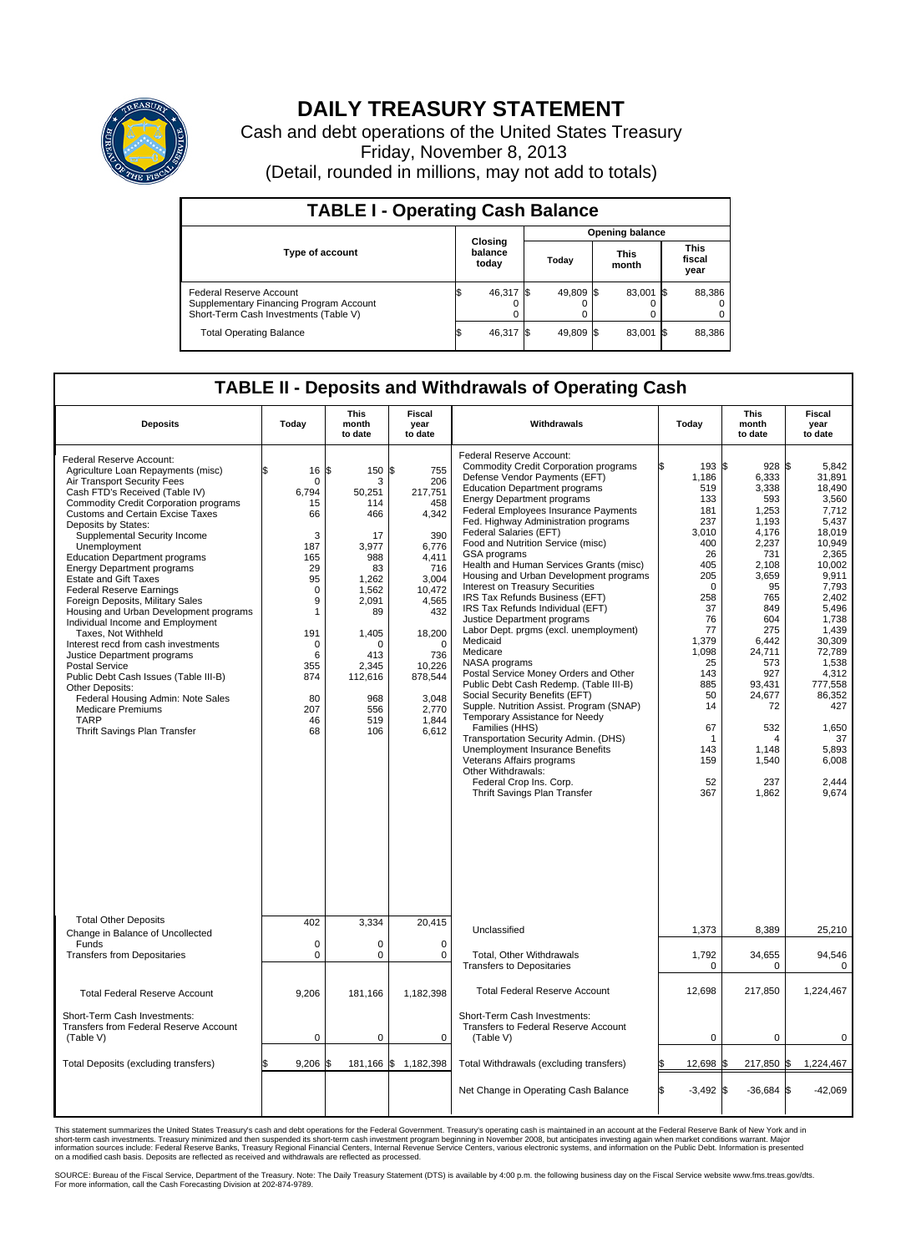

## **DAILY TREASURY STATEMENT**

Cash and debt operations of the United States Treasury Friday, November 8, 2013 (Detail, rounded in millions, may not add to totals)

| <b>TABLE I - Operating Cash Balance</b>                                                                     |                             |           |  |           |  |                      |  |                               |  |  |  |
|-------------------------------------------------------------------------------------------------------------|-----------------------------|-----------|--|-----------|--|----------------------|--|-------------------------------|--|--|--|
| <b>Opening balance</b>                                                                                      |                             |           |  |           |  |                      |  |                               |  |  |  |
| <b>Type of account</b>                                                                                      | Closing<br>balance<br>today |           |  | Today     |  | <b>This</b><br>month |  | <b>This</b><br>fiscal<br>year |  |  |  |
| Federal Reserve Account<br>Supplementary Financing Program Account<br>Short-Term Cash Investments (Table V) |                             | 46,317 \$ |  | 49,809 \$ |  | 83,001 \$            |  | 88,386                        |  |  |  |
| <b>Total Operating Balance</b>                                                                              |                             | 46,317 \$ |  | 49,809 \$ |  | 83,001 \$            |  | 88,386                        |  |  |  |

## **TABLE II - Deposits and Withdrawals of Operating Cash**

| <b>Deposits</b>                                                                                                                                                                                                                                                                                                                                                                                                                                                                                                                                                                                                                                                                                                                                                                                                                                                       | Today                                                                                                                                                                             | This<br>month<br>to date                                                                                                                                                        | Fiscal<br>year<br>to date                                                                                                                                                                            | Withdrawals                                                                                                                                                                                                                                                                                                                                                                                                                                                                                                                                                                                                                                                                                                                                                                                                                                                                                                                                                                                                                                                                                | Today                                                                                                                                                                                                         | <b>This</b><br>month<br>to date                                                                                                                                                                                                           | Fiscal<br>year<br>to date                                                                                                                                                                                                                                              |
|-----------------------------------------------------------------------------------------------------------------------------------------------------------------------------------------------------------------------------------------------------------------------------------------------------------------------------------------------------------------------------------------------------------------------------------------------------------------------------------------------------------------------------------------------------------------------------------------------------------------------------------------------------------------------------------------------------------------------------------------------------------------------------------------------------------------------------------------------------------------------|-----------------------------------------------------------------------------------------------------------------------------------------------------------------------------------|---------------------------------------------------------------------------------------------------------------------------------------------------------------------------------|------------------------------------------------------------------------------------------------------------------------------------------------------------------------------------------------------|--------------------------------------------------------------------------------------------------------------------------------------------------------------------------------------------------------------------------------------------------------------------------------------------------------------------------------------------------------------------------------------------------------------------------------------------------------------------------------------------------------------------------------------------------------------------------------------------------------------------------------------------------------------------------------------------------------------------------------------------------------------------------------------------------------------------------------------------------------------------------------------------------------------------------------------------------------------------------------------------------------------------------------------------------------------------------------------------|---------------------------------------------------------------------------------------------------------------------------------------------------------------------------------------------------------------|-------------------------------------------------------------------------------------------------------------------------------------------------------------------------------------------------------------------------------------------|------------------------------------------------------------------------------------------------------------------------------------------------------------------------------------------------------------------------------------------------------------------------|
| <b>Federal Reserve Account:</b><br>Agriculture Loan Repayments (misc)<br>Air Transport Security Fees<br>Cash FTD's Received (Table IV)<br><b>Commodity Credit Corporation programs</b><br><b>Customs and Certain Excise Taxes</b><br>Deposits by States:<br>Supplemental Security Income<br>Unemployment<br><b>Education Department programs</b><br><b>Energy Department programs</b><br><b>Estate and Gift Taxes</b><br><b>Federal Reserve Earnings</b><br>Foreign Deposits, Military Sales<br>Housing and Urban Development programs<br>Individual Income and Employment<br>Taxes, Not Withheld<br>Interest recd from cash investments<br>Justice Department programs<br><b>Postal Service</b><br>Public Debt Cash Issues (Table III-B)<br>Other Deposits:<br>Federal Housing Admin: Note Sales<br>Medicare Premiums<br><b>TARP</b><br>Thrift Savings Plan Transfer | 16<br>\$<br>$\mathbf 0$<br>6.794<br>15<br>66<br>3<br>187<br>165<br>29<br>95<br>$\mathbf 0$<br>9<br>$\mathbf{1}$<br>191<br>$\mathbf 0$<br>6<br>355<br>874<br>80<br>207<br>46<br>68 | \$<br>150<br>3<br>50,251<br>114<br>466<br>17<br>3.977<br>988<br>83<br>1,262<br>1,562<br>2,091<br>89<br>1,405<br>$\Omega$<br>413<br>2.345<br>112,616<br>968<br>556<br>519<br>106 | S.<br>755<br>206<br>217,751<br>458<br>4,342<br>390<br>6.776<br>4,411<br>716<br>3,004<br>10,472<br>4,565<br>432<br>18,200<br>$\Omega$<br>736<br>10,226<br>878,544<br>3,048<br>2,770<br>1,844<br>6,612 | Federal Reserve Account:<br><b>Commodity Credit Corporation programs</b><br>Defense Vendor Payments (EFT)<br><b>Education Department programs</b><br><b>Energy Department programs</b><br><b>Federal Employees Insurance Payments</b><br>Fed. Highway Administration programs<br>Federal Salaries (EFT)<br>Food and Nutrition Service (misc)<br>GSA programs<br>Health and Human Services Grants (misc)<br>Housing and Urban Development programs<br>Interest on Treasury Securities<br>IRS Tax Refunds Business (EFT)<br>IRS Tax Refunds Individual (EFT)<br>Justice Department programs<br>Labor Dept. prgms (excl. unemployment)<br>Medicaid<br>Medicare<br>NASA programs<br>Postal Service Money Orders and Other<br>Public Debt Cash Redemp. (Table III-B)<br>Social Security Benefits (EFT)<br>Supple. Nutrition Assist. Program (SNAP)<br>Temporary Assistance for Needy<br>Families (HHS)<br>Transportation Security Admin. (DHS)<br>Unemployment Insurance Benefits<br>Veterans Affairs programs<br>Other Withdrawals:<br>Federal Crop Ins. Corp.<br>Thrift Savings Plan Transfer | 193S<br>1,186<br>519<br>133<br>181<br>237<br>3.010<br>400<br>26<br>405<br>205<br>$\mathbf 0$<br>258<br>37<br>76<br>77<br>1,379<br>1,098<br>25<br>143<br>885<br>50<br>14<br>67<br>1<br>143<br>159<br>52<br>367 | $928$ \$<br>6,333<br>3,338<br>593<br>1.253<br>1,193<br>4,176<br>2,237<br>731<br>2,108<br>3,659<br>95<br>765<br>849<br>604<br>275<br>6.442<br>24,711<br>573<br>927<br>93,431<br>24,677<br>72<br>532<br>4<br>1.148<br>1,540<br>237<br>1,862 | 5,842<br>31.891<br>18,490<br>3,560<br>7.712<br>5,437<br>18.019<br>10,949<br>2.365<br>10.002<br>9,911<br>7,793<br>2,402<br>5,496<br>1,738<br>1,439<br>30.309<br>72,789<br>1,538<br>4,312<br>777,558<br>86,352<br>427<br>1,650<br>37<br>5,893<br>6.008<br>2,444<br>9,674 |
| <b>Total Other Deposits</b><br>Change in Balance of Uncollected                                                                                                                                                                                                                                                                                                                                                                                                                                                                                                                                                                                                                                                                                                                                                                                                       | 402                                                                                                                                                                               | 3,334                                                                                                                                                                           | 20,415                                                                                                                                                                                               | Unclassified                                                                                                                                                                                                                                                                                                                                                                                                                                                                                                                                                                                                                                                                                                                                                                                                                                                                                                                                                                                                                                                                               | 1,373                                                                                                                                                                                                         | 8,389                                                                                                                                                                                                                                     | 25,210                                                                                                                                                                                                                                                                 |
| Funds<br><b>Transfers from Depositaries</b>                                                                                                                                                                                                                                                                                                                                                                                                                                                                                                                                                                                                                                                                                                                                                                                                                           | $\mathbf 0$<br>$\mathbf 0$                                                                                                                                                        | 0<br>0                                                                                                                                                                          | $\mathbf 0$<br>$\mathbf 0$                                                                                                                                                                           | Total, Other Withdrawals<br><b>Transfers to Depositaries</b>                                                                                                                                                                                                                                                                                                                                                                                                                                                                                                                                                                                                                                                                                                                                                                                                                                                                                                                                                                                                                               | 1,792<br>0                                                                                                                                                                                                    | 34,655<br>0                                                                                                                                                                                                                               | 94,546<br>0                                                                                                                                                                                                                                                            |
| <b>Total Federal Reserve Account</b>                                                                                                                                                                                                                                                                                                                                                                                                                                                                                                                                                                                                                                                                                                                                                                                                                                  | 9,206                                                                                                                                                                             | 181,166                                                                                                                                                                         | 1,182,398                                                                                                                                                                                            | <b>Total Federal Reserve Account</b>                                                                                                                                                                                                                                                                                                                                                                                                                                                                                                                                                                                                                                                                                                                                                                                                                                                                                                                                                                                                                                                       | 12,698                                                                                                                                                                                                        | 217,850                                                                                                                                                                                                                                   | 1,224,467                                                                                                                                                                                                                                                              |
| Short-Term Cash Investments:<br><b>Transfers from Federal Reserve Account</b><br>(Table V)                                                                                                                                                                                                                                                                                                                                                                                                                                                                                                                                                                                                                                                                                                                                                                            | $\pmb{0}$                                                                                                                                                                         | 0                                                                                                                                                                               | $\mathbf 0$                                                                                                                                                                                          | Short-Term Cash Investments:<br>Transfers to Federal Reserve Account<br>(Table V)                                                                                                                                                                                                                                                                                                                                                                                                                                                                                                                                                                                                                                                                                                                                                                                                                                                                                                                                                                                                          | $\mathbf 0$                                                                                                                                                                                                   | 0                                                                                                                                                                                                                                         | 0                                                                                                                                                                                                                                                                      |
| Total Deposits (excluding transfers)                                                                                                                                                                                                                                                                                                                                                                                                                                                                                                                                                                                                                                                                                                                                                                                                                                  | 9,206                                                                                                                                                                             |                                                                                                                                                                                 | 181,166 \$ 1,182,398                                                                                                                                                                                 | Total Withdrawals (excluding transfers)                                                                                                                                                                                                                                                                                                                                                                                                                                                                                                                                                                                                                                                                                                                                                                                                                                                                                                                                                                                                                                                    | 12,698 \$                                                                                                                                                                                                     | 217,850 \$                                                                                                                                                                                                                                | 1,224,467                                                                                                                                                                                                                                                              |
|                                                                                                                                                                                                                                                                                                                                                                                                                                                                                                                                                                                                                                                                                                                                                                                                                                                                       |                                                                                                                                                                                   |                                                                                                                                                                                 |                                                                                                                                                                                                      | Net Change in Operating Cash Balance                                                                                                                                                                                                                                                                                                                                                                                                                                                                                                                                                                                                                                                                                                                                                                                                                                                                                                                                                                                                                                                       | Ŝ.<br>$-3,492$ \$                                                                                                                                                                                             | $-36,684$ \$                                                                                                                                                                                                                              | $-42,069$                                                                                                                                                                                                                                                              |

This statement summarizes the United States Treasury's cash and debt operations for the Federal Government. Treasury's operating cash is maintained in an account at the Federal Reserve Bank of New York and in<br>short-term ca

SOURCE: Bureau of the Fiscal Service, Department of the Treasury. Note: The Daily Treasury Statement (DTS) is available by 4:00 p.m. the following business day on the Fiscal Service website www.fms.treas.gov/dts.<br>For more